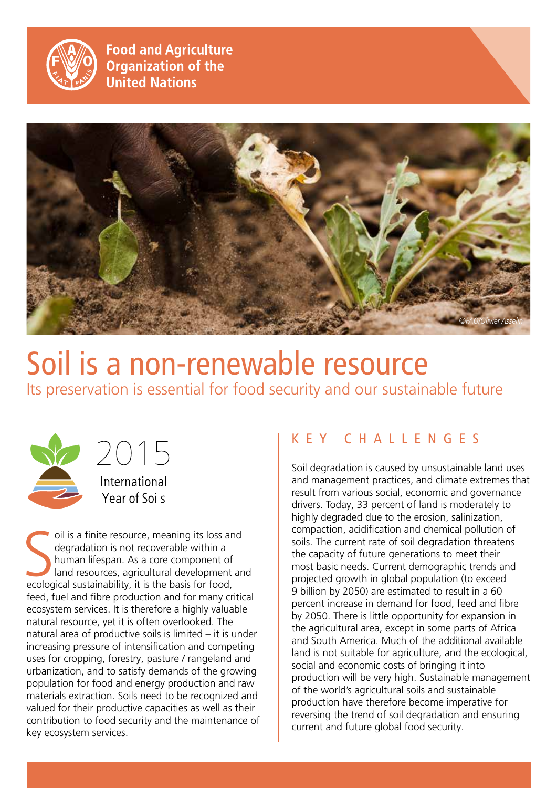

**Food and Agriculture Organization of the United Nations** 



# Soil is a non-renewable resource

Its preservation is essential for food security and our sustainable future





oil is a finite resource, meaning its loss an degradation is not recoverable within a human lifespan. As a core component of land resources, agricultural development ecological sustainability, it is the basis for food, oil is a finite resource, meaning its loss and degradation is not recoverable within a human lifespan. As a core component of land resources, agricultural development and feed, fuel and fibre production and for many critical ecosystem services. It is therefore a highly valuable natural resource, yet it is often overlooked. The natural area of productive soils is limited – it is under increasing pressure of intensification and competing uses for cropping, forestry, pasture / rangeland and urbanization, and to satisfy demands of the growing population for food and energy production and raw materials extraction. Soils need to be recognized and valued for their productive capacities as well as their contribution to food security and the maintenance of key ecosystem services.

# Key challe n ges

Soil degradation is caused by unsustainable land uses and management practices, and climate extremes that result from various social, economic and governance drivers. Today, 33 percent of land is moderately to highly degraded due to the erosion, salinization, compaction, acidification and chemical pollution of soils. The current rate of soil degradation threatens the capacity of future generations to meet their most basic needs. Current demographic trends and projected growth in global population (to exceed 9 billion by 2050) are estimated to result in a 60 percent increase in demand for food, feed and fibre by 2050. There is little opportunity for expansion in the agricultural area, except in some parts of Africa and South America. Much of the additional available land is not suitable for agriculture, and the ecological, social and economic costs of bringing it into production will be very high. Sustainable management of the world's agricultural soils and sustainable production have therefore become imperative for reversing the trend of soil degradation and ensuring current and future global food security.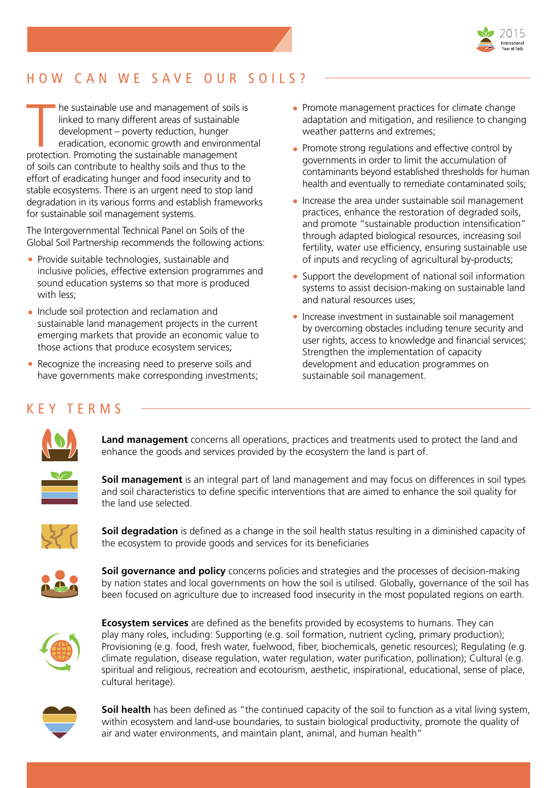

# HOW CAN WE SAVE OUR SOILS?

The sustainable use and management of soils<br>
linked to many different areas of sustainable<br>
development – poverty reduction, hunger<br>
eradication, economic growth and environm<br>
protection. Promoting the sustainable manageme he sustainable use and management of soils is linked to many different areas of sustainable development – poverty reduction, hunger eradication, economic growth and environmental of soils can contribute to healthy soils and thus to the effort of eradicating hunger and food insecurity and to stable ecosystems. There is an urgent need to stop land degradation in its various forms and establish frameworks for sustainable soil management systems.

The Intergovernmental Technical Panel on Soils of the Global Soil Partnership recommends the following actions:

- Provide suitable technologies, sustainable and inclusive policies, effective extension programmes and sound education systems so that more is produced with less:
- Include soil protection and reclamation and sustainable land management projects in the current emerging markets that provide an economic value to those actions that produce ecosystem services;
- Recognize the increasing need to preserve soils and have governments make corresponding investments;
- Promote management practices for climate change adaptation and mitigation, and resilience to changing weather patterns and extremes;
- Promote strong regulations and effective control by governments in order to limit the accumulation of contaminants beyond established thresholds for human health and eventually to remediate contaminated soils;
- Increase the area under sustainable soil management practices, enhance the restoration of degraded soils, and promote "sustainable production intensification" through adapted biological resources, increasing soil fertility, water use efficiency, ensuring sustainable use of inputs and recycling of agricultural by-products;
- Support the development of national soil information systems to assist decision-making on sustainable land and natural resources uses;
- Increase investment in sustainable soil management by overcoming obstacles including tenure security and user rights, access to knowledge and financial services; Strengthen the implementation of capacity development and education programmes on sustainable soil management.

# Key terms



**Land management** concerns all operations, practices and treatments used to protect the land and enhance the goods and services provided by the ecosystem the land is part of.



**Soil management** is an integral part of land management and may focus on differences in soil types and soil characteristics to define specific interventions that are aimed to enhance the soil quality for the land use selected.



**Soil degradation** is defined as a change in the soil health status resulting in a diminished capacity of the ecosystem to provide goods and services for its beneficiaries



**Soil governance and policy** concerns policies and strategies and the processes of decision-making by nation states and local governments on how the soil is utilised. Globally, governance of the soil has been focused on agriculture due to increased food insecurity in the most populated regions on earth.



**Ecosystem services** are defined as the benefits provided by ecosystems to humans. They can play many roles, including: Supporting (e.g. soil formation, nutrient cycling, primary production); Provisioning (e.g. food, fresh water, fuelwood, fiber, biochemicals, genetic resources); Regulating (e.g. climate regulation, disease regulation, water regulation, water purification, pollination); Cultural (e.g. spiritual and religious, recreation and ecotourism, aesthetic, inspirational, educational, sense of place, cultural heritage).



**Soil health** has been defined as "the continued capacity of the soil to function as a vital living system, within ecosystem and land-use boundaries, to sustain biological productivity, promote the quality of air and water environments, and maintain plant, animal, and human health"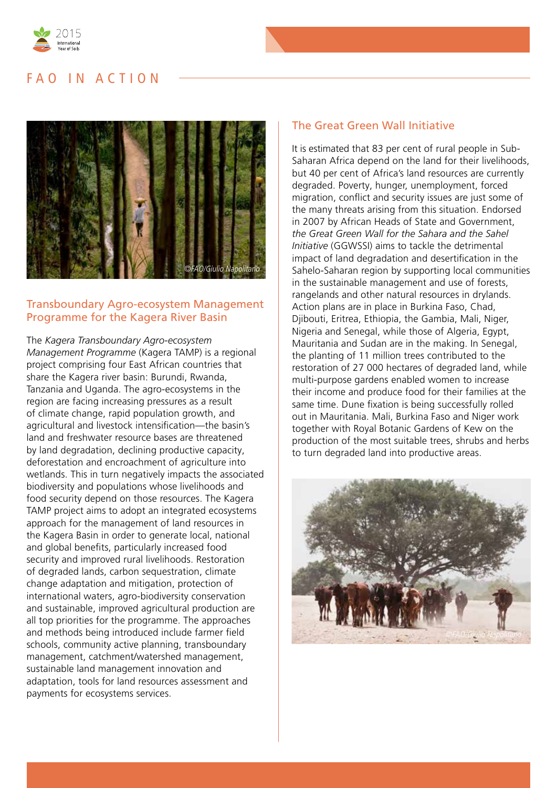

## FAQ IN ACTION



#### Transboundary Agro-ecosystem Management Programme for the Kagera River Basin

The *Kagera Transboundary Agro-ecosystem Management Programme* (Kagera TAMP) is a regional project comprising four East African countries that share the Kagera river basin: Burundi, Rwanda, Tanzania and Uganda. The agro-ecosystems in the region are facing increasing pressures as a result of climate change, rapid population growth, and agricultural and livestock intensification—the basin's land and freshwater resource bases are threatened by land degradation, declining productive capacity, deforestation and encroachment of agriculture into wetlands. This in turn negatively impacts the associated biodiversity and populations whose livelihoods and food security depend on those resources. The Kagera TAMP project aims to adopt an integrated ecosystems approach for the management of land resources in the Kagera Basin in order to generate local, national and global benefits, particularly increased food security and improved rural livelihoods. Restoration of degraded lands, carbon sequestration, climate change adaptation and mitigation, protection of international waters, agro-biodiversity conservation and sustainable, improved agricultural production are all top priorities for the programme. The approaches and methods being introduced include farmer field schools, community active planning, transboundary management, catchment/watershed management, sustainable land management innovation and adaptation, tools for land resources assessment and payments for ecosystems services.

#### The Great Green Wall Initiative

It is estimated that 83 per cent of rural people in Sub-Saharan Africa depend on the land for their livelihoods, but 40 per cent of Africa's land resources are currently degraded. Poverty, hunger, unemployment, forced migration, conflict and security issues are just some of the many threats arising from this situation. Endorsed in 2007 by African Heads of State and Government, *the Great Green Wall for the Sahara and the Sahel Initiative* (GGWSSI) aims to tackle the detrimental impact of land degradation and desertification in the Sahelo-Saharan region by supporting local communities in the sustainable management and use of forests, rangelands and other natural resources in drylands. Action plans are in place in Burkina Faso, Chad, Djibouti, Eritrea, Ethiopia, the Gambia, Mali, Niger, Nigeria and Senegal, while those of Algeria, Egypt, Mauritania and Sudan are in the making. In Senegal, the planting of 11 million trees contributed to the restoration of 27 000 hectares of degraded land, while multi-purpose gardens enabled women to increase their income and produce food for their families at the same time. Dune fixation is being successfully rolled out in Mauritania. Mali, Burkina Faso and Niger work together with Royal Botanic Gardens of Kew on the production of the most suitable trees, shrubs and herbs to turn degraded land into productive areas.